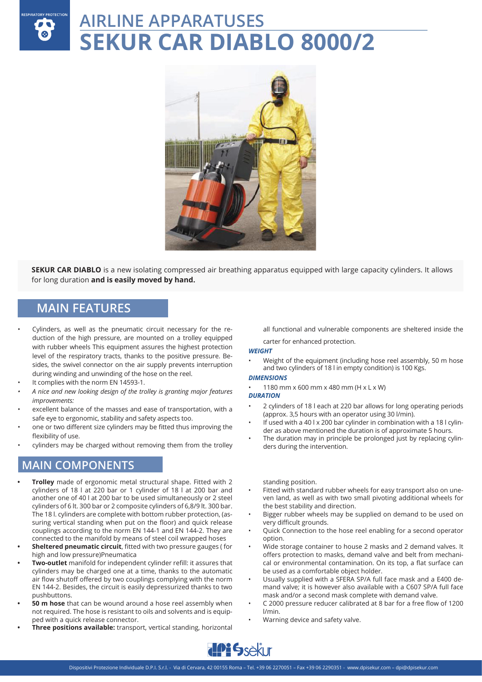## RESPIRATORY PROTECTION **AIRLINE APPARATUSES SEKUR CAR DIABLO 8000/2**



**SEKUR CAR DIABLO** is a new isolating compressed air breathing apparatus equipped with large capacity cylinders. It allows for long duration **and is easily moved by hand.**

## **MAIN FEATURES**

- Cylinders, as well as the pneumatic circuit necessary for the reduction of the high pressure, are mounted on a trolley equipped with rubber wheels This equipment assures the highest protection level of the respiratory tracts, thanks to the positive pressure. Besides, the swivel connector on the air supply prevents interruption during winding and unwinding of the hose on the reel.
- It complies with the norm EN 14593-1.
- *• A nice and new looking design of the trolley is granting major features improvements:*
- excellent balance of the masses and ease of transportation, with a safe eye to ergonomic, stability and safety aspects too.
- one or two different size cylinders may be fitted thus improving the flexibility of use.
- cylinders may be charged without removing them from the trolley

### **MAIN COMPONENTS**

- **• Trolley** made of ergonomic metal structural shape. Fitted with 2 cylinders of 18 l at 220 bar or 1 cylinder of 18 l at 200 bar and another one of 40 l at 200 bar to be used simultaneously or 2 steel cylinders of 6 lt. 300 bar or 2 composite cylinders of 6,8/9 lt. 300 bar. The 18 l. cylinders are complete with bottom rubber protection, (assuring vertical standing when put on the floor) and quick release couplings according to the norm EN 144-1 and EN 144-2. They are connected to the manifold by means of steel coil wrapped hoses
- **• Sheltered pneumatic circuit**, fitted with two pressure gauges ( for high and low pressure)Pneumatica
- **• Two-outlet** manifold for independent cylinder refill: it assures that cylinders may be charged one at a time, thanks to the automatic air flow shutoff offered by two couplings complying with the norm EN 144-2. Besides, the circuit is easily depressurized thanks to two pushbuttons.
- **• 50 m hose** that can be wound around a hose reel assembly when not required. The hose is resistant to oils and solvents and is equipped with a quick release connector.
- **• Three positions available:** transport, vertical standing, horizontal

all functional and vulnerable components are sheltered inside the

#### carter for enhanced protection.

#### *WEIGHT*

• Weight of the equipment (including hose reel assembly, 50 m hose and two cylinders of 18 l in empty condition) is 100 Kgs.

#### *DIMENSIONS*

• 1180 mm x 600 mm x 480 mm (H x L x W)

*DURATION*

- 2 cylinders of 18 l each at 220 bar allows for long operating periods (approx. 3,5 hours with an operator using 30 l/min).
- If used with a 40 l x 200 bar cylinder in combination with a 18 l cylinder as above mentioned the duration is of approximate 5 hours.
- The duration may in principle be prolonged just by replacing cylinders during the intervention.

#### standing position.

- Fitted with standard rubber wheels for easy transport also on uneven land, as well as with two small pivoting additional wheels for the best stability and direction.
- Bigger rubber wheels may be supplied on demand to be used on very difficult grounds.
- Quick Connection to the hose reel enabling for a second operator option
- Wide storage container to house 2 masks and 2 demand valves. It offers protection to masks, demand valve and belt from mechanical or environmental contamination. On its top, a flat surface can be used as a comfortable object holder.
- Usually supplied with a SFERA SP/A full face mask and a E400 demand valve; it is however also available with a C607 SP/A full face mask and/or a second mask complete with demand valve.
- C 2000 pressure reducer calibrated at 8 bar for a free flow of 1200 l/min.
- Warning device and safety valve.